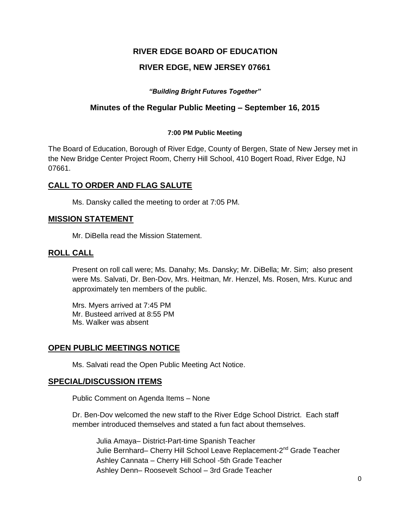## **RIVER EDGE BOARD OF EDUCATION**

### **RIVER EDGE, NEW JERSEY 07661**

*"Building Bright Futures Together"*

### **Minutes of the Regular Public Meeting – September 16, 2015**

#### **7:00 PM Public Meeting**

The Board of Education, Borough of River Edge, County of Bergen, State of New Jersey met in the New Bridge Center Project Room, Cherry Hill School, 410 Bogert Road, River Edge, NJ 07661.

### **CALL TO ORDER AND FLAG SALUTE**

Ms. Dansky called the meeting to order at 7:05 PM.

#### **MISSION STATEMENT**

Mr. DiBella read the Mission Statement.

#### **ROLL CALL**

Present on roll call were; Ms. Danahy; Ms. Dansky; Mr. DiBella; Mr. Sim; also present were Ms. Salvati, Dr. Ben-Dov, Mrs. Heitman, Mr. Henzel, Ms. Rosen, Mrs. Kuruc and approximately ten members of the public.

Mrs. Myers arrived at 7:45 PM Mr. Busteed arrived at 8:55 PM Ms. Walker was absent

#### **OPEN PUBLIC MEETINGS NOTICE**

Ms. Salvati read the Open Public Meeting Act Notice.

#### **SPECIAL/DISCUSSION ITEMS**

Public Comment on Agenda Items – None

Dr. Ben-Dov welcomed the new staff to the River Edge School District. Each staff member introduced themselves and stated a fun fact about themselves.

Julia Amaya– District-Part-time Spanish Teacher Julie Bernhard– Cherry Hill School Leave Replacement-2<sup>nd</sup> Grade Teacher Ashley Cannata – Cherry Hill School -5th Grade Teacher Ashley Denn– Roosevelt School – 3rd Grade Teacher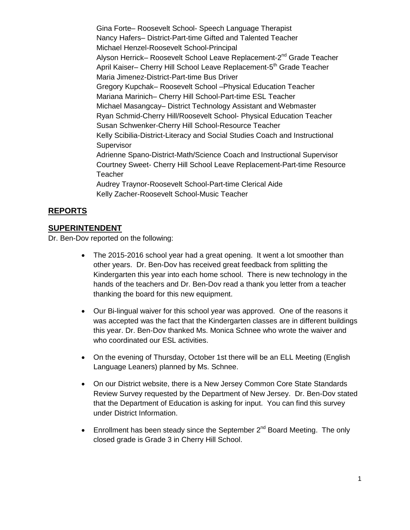Gina Forte– Roosevelt School- Speech Language Therapist Nancy Hafers– District-Part-time Gifted and Talented Teacher Michael Henzel-Roosevelt School-Principal Alyson Herrick– Roosevelt School Leave Replacement-2<sup>nd</sup> Grade Teacher April Kaiser– Cherry Hill School Leave Replacement-5<sup>th</sup> Grade Teacher Maria Jimenez-District-Part-time Bus Driver Gregory Kupchak– Roosevelt School –Physical Education Teacher Mariana Marinich– Cherry Hill School-Part-time ESL Teacher Michael Masangcay– District Technology Assistant and Webmaster Ryan Schmid-Cherry Hill/Roosevelt School- Physical Education Teacher Susan Schwenker-Cherry Hill School-Resource Teacher Kelly Scibilia-District-Literacy and Social Studies Coach and Instructional **Supervisor** Adrienne Spano-District-Math/Science Coach and Instructional Supervisor Courtney Sweet- Cherry Hill School Leave Replacement-Part-time Resource **Teacher** Audrey Traynor-Roosevelt School-Part-time Clerical Aide Kelly Zacher-Roosevelt School-Music Teacher

# **REPORTS**

#### **SUPERINTENDENT**

Dr. Ben-Dov reported on the following:

- The 2015-2016 school year had a great opening. It went a lot smoother than other years. Dr. Ben-Dov has received great feedback from splitting the Kindergarten this year into each home school. There is new technology in the hands of the teachers and Dr. Ben-Dov read a thank you letter from a teacher thanking the board for this new equipment.
- Our Bi-lingual waiver for this school year was approved. One of the reasons it was accepted was the fact that the Kindergarten classes are in different buildings this year. Dr. Ben-Dov thanked Ms. Monica Schnee who wrote the waiver and who coordinated our ESL activities.
- On the evening of Thursday, October 1st there will be an ELL Meeting (English Language Leaners) planned by Ms. Schnee.
- On our District website, there is a New Jersey Common Core State Standards Review Survey requested by the Department of New Jersey. Dr. Ben-Dov stated that the Department of Education is asking for input. You can find this survey under District Information.
- **Enrollment has been steady since the September 2<sup>nd</sup> Board Meeting. The only** closed grade is Grade 3 in Cherry Hill School.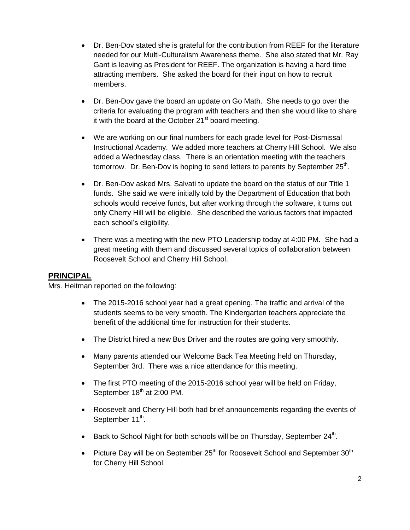- Dr. Ben-Dov stated she is grateful for the contribution from REEF for the literature needed for our Multi-Culturalism Awareness theme. She also stated that Mr. Ray Gant is leaving as President for REEF. The organization is having a hard time attracting members. She asked the board for their input on how to recruit members.
- Dr. Ben-Dov gave the board an update on Go Math. She needs to go over the criteria for evaluating the program with teachers and then she would like to share it with the board at the October  $21<sup>st</sup>$  board meeting.
- We are working on our final numbers for each grade level for Post-Dismissal Instructional Academy. We added more teachers at Cherry Hill School. We also added a Wednesday class. There is an orientation meeting with the teachers tomorrow. Dr. Ben-Dov is hoping to send letters to parents by September 25<sup>th</sup>.
- Dr. Ben-Dov asked Mrs. Salvati to update the board on the status of our Title 1 funds. She said we were initially told by the Department of Education that both schools would receive funds, but after working through the software, it turns out only Cherry Hill will be eligible. She described the various factors that impacted each school's eligibility.
- There was a meeting with the new PTO Leadership today at 4:00 PM. She had a great meeting with them and discussed several topics of collaboration between Roosevelt School and Cherry Hill School.

# **PRINCIPAL**

Mrs. Heitman reported on the following:

- The 2015-2016 school year had a great opening. The traffic and arrival of the students seems to be very smooth. The Kindergarten teachers appreciate the benefit of the additional time for instruction for their students.
- The District hired a new Bus Driver and the routes are going very smoothly.
- Many parents attended our Welcome Back Tea Meeting held on Thursday, September 3rd. There was a nice attendance for this meeting.
- The first PTO meeting of the 2015-2016 school year will be held on Friday, September 18<sup>th</sup> at 2:00 PM.
- Roosevelt and Cherry Hill both had brief announcements regarding the events of September 11<sup>th</sup>.
- $\bullet$  Back to School Night for both schools will be on Thursday, September 24<sup>th</sup>.
- Picture Day will be on September  $25<sup>th</sup>$  for Roosevelt School and September  $30<sup>th</sup>$ for Cherry Hill School.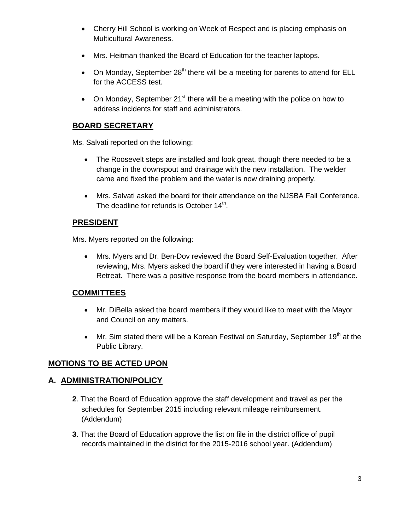- Cherry Hill School is working on Week of Respect and is placing emphasis on Multicultural Awareness.
- Mrs. Heitman thanked the Board of Education for the teacher laptops.
- On Monday, September  $28<sup>th</sup>$  there will be a meeting for parents to attend for ELL for the ACCESS test.
- On Monday, September  $21^{st}$  there will be a meeting with the police on how to address incidents for staff and administrators.

# **BOARD SECRETARY**

Ms. Salvati reported on the following:

- The Roosevelt steps are installed and look great, though there needed to be a change in the downspout and drainage with the new installation. The welder came and fixed the problem and the water is now draining properly.
- Mrs. Salvati asked the board for their attendance on the NJSBA Fall Conference. The deadline for refunds is October 14<sup>th</sup>.

### **PRESIDENT**

Mrs. Myers reported on the following:

 Mrs. Myers and Dr. Ben-Dov reviewed the Board Self-Evaluation together. After reviewing, Mrs. Myers asked the board if they were interested in having a Board Retreat. There was a positive response from the board members in attendance.

### **COMMITTEES**

- Mr. DiBella asked the board members if they would like to meet with the Mayor and Council on any matters.
- $\bullet$  Mr. Sim stated there will be a Korean Festival on Saturday, September 19<sup>th</sup> at the Public Library.

# **MOTIONS TO BE ACTED UPON**

### **A. ADMINISTRATION/POLICY**

- **2**. That the Board of Education approve the staff development and travel as per the schedules for September 2015 including relevant mileage reimbursement. (Addendum)
- **3**. That the Board of Education approve the list on file in the district office of pupil records maintained in the district for the 2015-2016 school year. (Addendum)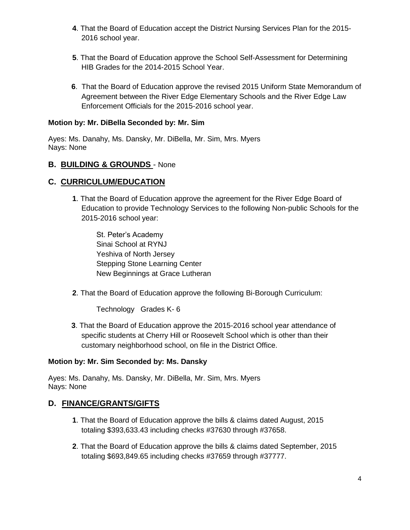- **4**. That the Board of Education accept the District Nursing Services Plan for the 2015- 2016 school year.
- **5**. That the Board of Education approve the School Self-Assessment for Determining HIB Grades for the 2014-2015 School Year.
- **6**. That the Board of Education approve the revised 2015 Uniform State Memorandum of Agreement between the River Edge Elementary Schools and the River Edge Law Enforcement Officials for the 2015-2016 school year.

### **Motion by: Mr. DiBella Seconded by: Mr. Sim**

Ayes: Ms. Danahy, Ms. Dansky, Mr. DiBella, Mr. Sim, Mrs. Myers Nays: None

### **B. BUILDING & GROUNDS** - None

# **C. CURRICULUM/EDUCATION**

**1**. That the Board of Education approve the agreement for the River Edge Board of Education to provide Technology Services to the following Non-public Schools for the 2015-2016 school year:

St. Peter's Academy Sinai School at RYNJ Yeshiva of North Jersey Stepping Stone Learning Center New Beginnings at Grace Lutheran

**2**. That the Board of Education approve the following Bi-Borough Curriculum:

Technology Grades K- 6

**3**. That the Board of Education approve the 2015-2016 school year attendance of specific students at Cherry Hill or Roosevelt School which is other than their customary neighborhood school, on file in the District Office.

#### **Motion by: Mr. Sim Seconded by: Ms. Dansky**

Ayes: Ms. Danahy, Ms. Dansky, Mr. DiBella, Mr. Sim, Mrs. Myers Nays: None

### **D. FINANCE/GRANTS/GIFTS**

- **1**. That the Board of Education approve the bills & claims dated August, 2015 totaling \$393,633.43 including checks #37630 through #37658.
- **2**. That the Board of Education approve the bills & claims dated September, 2015 totaling \$693,849.65 including checks #37659 through #37777.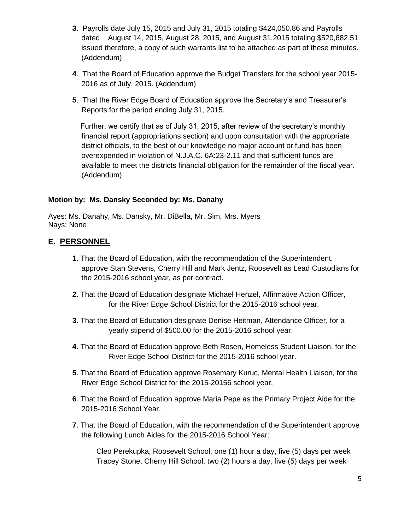- **3**. Payrolls date July 15, 2015 and July 31, 2015 totaling \$424,050.86 and Payrolls dated August 14, 2015, August 28, 2015, and August 31,2015 totaling \$520,682.51 issued therefore, a copy of such warrants list to be attached as part of these minutes. (Addendum)
- **4**. That the Board of Education approve the Budget Transfers for the school year 2015- 2016 as of July, 2015. (Addendum)
- **5**. That the River Edge Board of Education approve the Secretary's and Treasurer's Reports for the period ending July 31, 2015.

Further, we certify that as of July 31, 2015, after review of the secretary's monthly financial report (appropriations section) and upon consultation with the appropriate district officials, to the best of our knowledge no major account or fund has been overexpended in violation of N.J.A.C. 6A:23-2.11 and that sufficient funds are available to meet the districts financial obligation for the remainder of the fiscal year. (Addendum)

### **Motion by: Ms. Dansky Seconded by: Ms. Danahy**

Ayes: Ms. Danahy, Ms. Dansky, Mr. DiBella, Mr. Sim, Mrs. Myers Nays: None

### **E. PERSONNEL**

- **1**. That the Board of Education, with the recommendation of the Superintendent, approve Stan Stevens, Cherry Hill and Mark Jentz, Roosevelt as Lead Custodians for the 2015-2016 school year, as per contract.
- **2**. That the Board of Education designate Michael Henzel, Affirmative Action Officer, for the River Edge School District for the 2015-2016 school year.
- **3**. That the Board of Education designate Denise Heitman, Attendance Officer, for a yearly stipend of \$500.00 for the 2015-2016 school year.
- **4**. That the Board of Education approve Beth Rosen, Homeless Student Liaison, for the River Edge School District for the 2015-2016 school year.
- **5**. That the Board of Education approve Rosemary Kuruc, Mental Health Liaison, for the River Edge School District for the 2015-20156 school year.
- **6**. That the Board of Education approve Maria Pepe as the Primary Project Aide for the 2015-2016 School Year.
- **7**. That the Board of Education, with the recommendation of the Superintendent approve the following Lunch Aides for the 2015-2016 School Year:

Cleo Perekupka, Roosevelt School, one (1) hour a day, five (5) days per week Tracey Stone, Cherry Hill School, two (2) hours a day, five (5) days per week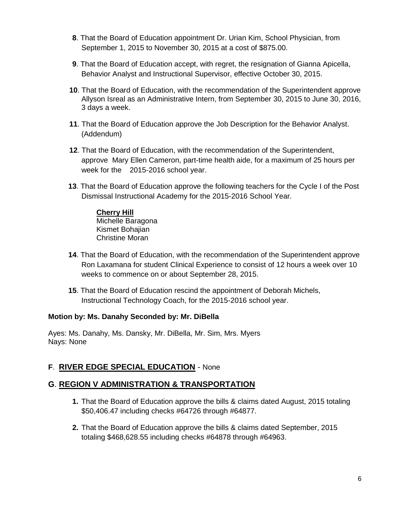- **8**. That the Board of Education appointment Dr. Urian Kim, School Physician, from September 1, 2015 to November 30, 2015 at a cost of \$875.00.
- **9**. That the Board of Education accept, with regret, the resignation of Gianna Apicella, Behavior Analyst and Instructional Supervisor, effective October 30, 2015.
- **10**. That the Board of Education, with the recommendation of the Superintendent approve Allyson Isreal as an Administrative Intern, from September 30, 2015 to June 30, 2016, 3 days a week.
- **11**. That the Board of Education approve the Job Description for the Behavior Analyst. (Addendum)
- **12**. That the Board of Education, with the recommendation of the Superintendent, approve Mary Ellen Cameron, part-time health aide, for a maximum of 25 hours per week for the 2015-2016 school year.
- **13**. That the Board of Education approve the following teachers for the Cycle I of the Post Dismissal Instructional Academy for the 2015-2016 School Year.

# **Cherry Hill**

Michelle Baragona Kismet Bohajian Christine Moran

- **14**. That the Board of Education, with the recommendation of the Superintendent approve Ron Laxamana for student Clinical Experience to consist of 12 hours a week over 10 weeks to commence on or about September 28, 2015.
- **15**. That the Board of Education rescind the appointment of Deborah Michels, Instructional Technology Coach, for the 2015-2016 school year.

### **Motion by: Ms. Danahy Seconded by: Mr. DiBella**

Ayes: Ms. Danahy, Ms. Dansky, Mr. DiBella, Mr. Sim, Mrs. Myers Nays: None

# **F**. **RIVER EDGE SPECIAL EDUCATION** - None

# **G**. **REGION V ADMINISTRATION & TRANSPORTATION**

- **1.** That the Board of Education approve the bills & claims dated August, 2015 totaling \$50,406.47 including checks #64726 through #64877.
- **2.** That the Board of Education approve the bills & claims dated September, 2015 totaling \$468,628.55 including checks #64878 through #64963.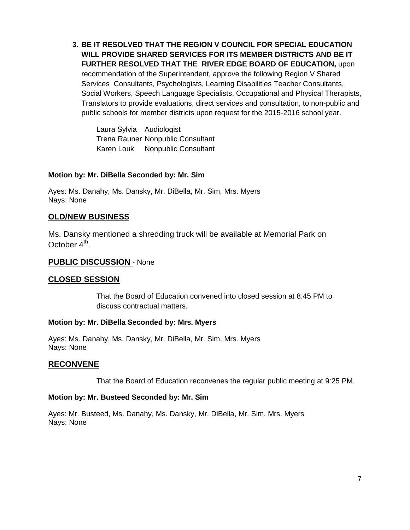**3. BE IT RESOLVED THAT THE REGION V COUNCIL FOR SPECIAL EDUCATION WILL PROVIDE SHARED SERVICES FOR ITS MEMBER DISTRICTS AND BE IT FURTHER RESOLVED THAT THE RIVER EDGE BOARD OF EDUCATION,** upon recommendation of the Superintendent, approve the following Region V Shared Services Consultants, Psychologists, Learning Disabilities Teacher Consultants, Social Workers, Speech Language Specialists, Occupational and Physical Therapists, Translators to provide evaluations, direct services and consultation, to non-public and public schools for member districts upon request for the 2015-2016 school year.

Laura Sylvia Audiologist Trena Rauner Nonpublic Consultant Karen Louk Nonpublic Consultant

#### **Motion by: Mr. DiBella Seconded by: Mr. Sim**

Ayes: Ms. Danahy, Ms. Dansky, Mr. DiBella, Mr. Sim, Mrs. Myers Nays: None

#### **OLD/NEW BUSINESS**

Ms. Dansky mentioned a shredding truck will be available at Memorial Park on October 4<sup>th</sup>.

#### **PUBLIC DISCUSSION** - None

#### **CLOSED SESSION**

That the Board of Education convened into closed session at 8:45 PM to discuss contractual matters.

#### **Motion by: Mr. DiBella Seconded by: Mrs. Myers**

Ayes: Ms. Danahy, Ms. Dansky, Mr. DiBella, Mr. Sim, Mrs. Myers Nays: None

#### **RECONVENE**

That the Board of Education reconvenes the regular public meeting at 9:25 PM.

#### **Motion by: Mr. Busteed Seconded by: Mr. Sim**

Ayes: Mr. Busteed, Ms. Danahy, Ms. Dansky, Mr. DiBella, Mr. Sim, Mrs. Myers Nays: None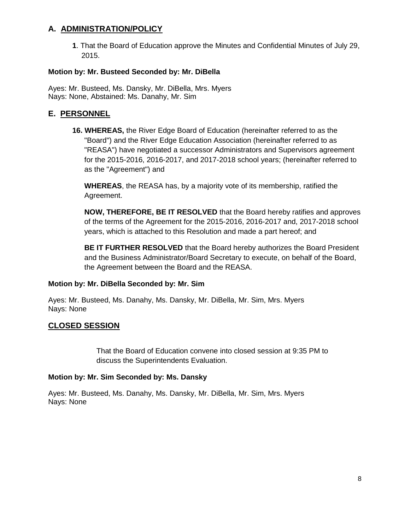# **A. ADMINISTRATION/POLICY**

**1**. That the Board of Education approve the Minutes and Confidential Minutes of July 29, 2015.

### **Motion by: Mr. Busteed Seconded by: Mr. DiBella**

Ayes: Mr. Busteed, Ms. Dansky, Mr. DiBella, Mrs. Myers Nays: None, Abstained: Ms. Danahy, Mr. Sim

### **E. PERSONNEL**

**16. WHEREAS,** the River Edge Board of Education (hereinafter referred to as the "Board") and the River Edge Education Association (hereinafter referred to as "REASA") have negotiated a successor Administrators and Supervisors agreement for the 2015-2016, 2016-2017, and 2017-2018 school years; (hereinafter referred to as the "Agreement") and

**WHEREAS**, the REASA has, by a majority vote of its membership, ratified the Agreement.

**NOW, THEREFORE, BE IT RESOLVED** that the Board hereby ratifies and approves of the terms of the Agreement for the 2015-2016, 2016-2017 and, 2017-2018 school years, which is attached to this Resolution and made a part hereof; and

**BE IT FURTHER RESOLVED** that the Board hereby authorizes the Board President and the Business Administrator/Board Secretary to execute, on behalf of the Board, the Agreement between the Board and the REASA.

#### **Motion by: Mr. DiBella Seconded by: Mr. Sim**

Ayes: Mr. Busteed, Ms. Danahy, Ms. Dansky, Mr. DiBella, Mr. Sim, Mrs. Myers Nays: None

# **CLOSED SESSION**

That the Board of Education convene into closed session at 9:35 PM to discuss the Superintendents Evaluation.

#### **Motion by: Mr. Sim Seconded by: Ms. Dansky**

Ayes: Mr. Busteed, Ms. Danahy, Ms. Dansky, Mr. DiBella, Mr. Sim, Mrs. Myers Nays: None